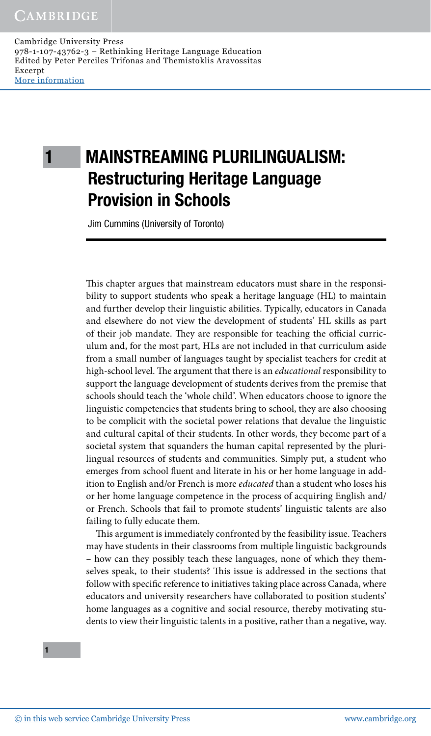Cambridge University Press 978-1-107-43762-3 – Rethinking Heritage Language Education Edited by Peter Perciles Trifonas and Themistoklis Aravossitas Excerpt More [information](http://www.cambridge.org/9781107437623)

# 1 MAINSTREAMING PLURILINGUALISM: Restructuring Heritage Language Provision in Schools

Jim Cummins (University of Toronto)

This chapter argues that mainstream educators must share in the responsibility to support students who speak a heritage language (HL) to maintain and further develop their linguistic abilities. Typically, educators in Canada and elsewhere do not view the development of students' HL skills as part of their job mandate. They are responsible for teaching the official curriculum and, for the most part, HLs are not included in that curriculum aside from a small number of languages taught by specialist teachers for credit at high-school level. The argument that there is an *educational* responsibility to support the language development of students derives from the premise that schools should teach the 'whole child'. When educators choose to ignore the linguistic competencies that students bring to school, they are also choosing to be complicit with the societal power relations that devalue the linguistic and cultural capital of their students. In other words, they become part of a societal system that squanders the human capital represented by the plurilingual resources of students and communities. Simply put, a student who emerges from school fluent and literate in his or her home language in addition to English and/or French is more *educated* than a student who loses his or her home language competence in the process of acquiring English and/ or French. Schools that fail to promote students' linguistic talents are also failing to fully educate them.

This argument is immediately confronted by the feasibility issue. Teachers may have students in their classrooms from multiple linguistic backgrounds – how can they possibly teach these languages, none of which they themselves speak, to their students? This issue is addressed in the sections that follow with specific reference to initiatives taking place across Canada, where educators and university researchers have collaborated to position students' home languages as a cognitive and social resource, thereby motivating students to view their linguistic talents in a positive, rather than a negative, way.

1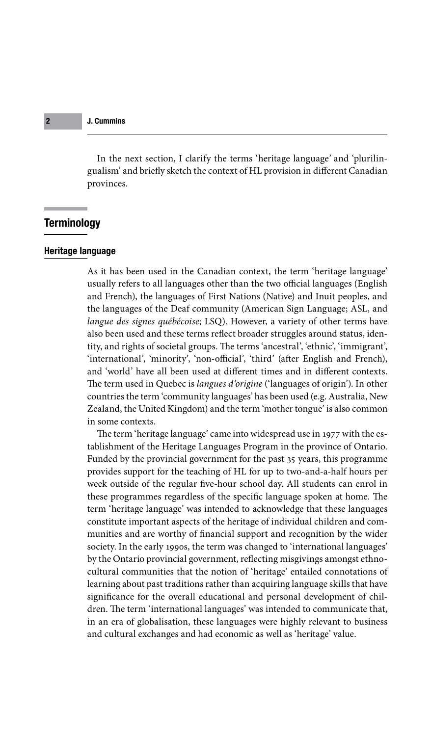In the next section, I clarify the terms 'heritage language*'* and 'plurilingualism' and briefly sketch the context of HL provision in different Canadian provinces.

# **Terminology**

# Heritage language

As it has been used in the Canadian context, the term 'heritage language' usually refers to all languages other than the two official languages (English and French), the languages of First Nations (Native) and Inuit peoples, and the languages of the Deaf community (American Sign Language; ASL, and *langue des signes québécoise*; LSQ). However, a variety of other terms have also been used and these terms reflect broader struggles around status, identity, and rights of societal groups. The terms 'ancestral', 'ethnic', 'immigrant', 'international', 'minority', 'non-official', 'third' (after English and French), and 'world' have all been used at different times and in different contexts. The term used in Quebec is *langues d'origine* ('languages of origin'). In other countries the term 'community languages' has been used (e.g. Australia, New Zealand, the United Kingdom) and the term 'mother tongue' is also common in some contexts.

provides support for the teating of the for up to the unit a han hours per week outside of the regular five-hour school day. All students can enrol in The term 'heritage language' came into widespread use in 1977 with the establishment of the Heritage Languages Program in the province of Ontario. Funded by the provincial government for the past 35 years, this programme provides support for the teaching of HL for up to two-and-a-half hours per these programmes regardless of the specific language spoken at home. The term 'heritage language' was intended to acknowledge that these languages constitute important aspects of the heritage of individual children and communities and are worthy of financial support and recognition by the wider society. In the early 1990s, the term was changed to 'international languages' by the Ontario provincial government, reflecting misgivings amongst ethnocultural communities that the notion of 'heritage' entailed connotations of learning about past traditions rather than acquiring language skills that have significance for the overall educational and personal development of children. The term 'international languages' was intended to communicate that, in an era of globalisation, these languages were highly relevant to business and cultural exchanges and had economic as well as 'heritage' value.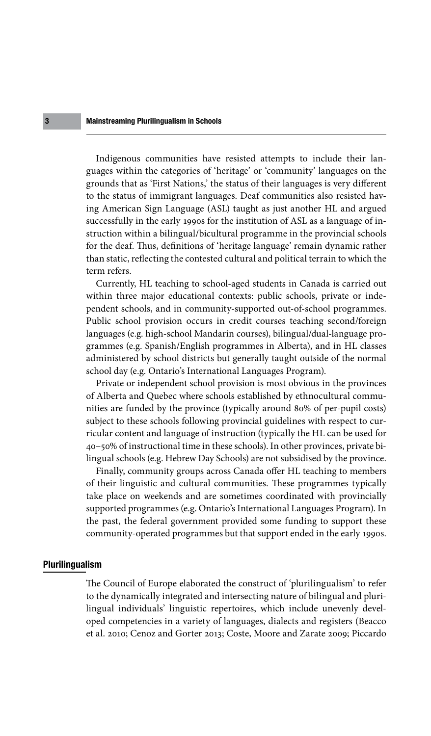## Mainstreaming Plurilingualism in Schools

Indigenous communities have resisted attempts to include their languages within the categories of 'heritage' or 'community' languages on the grounds that as 'First Nations,' the status of their languages is very different to the status of immigrant languages. Deaf communities also resisted having American Sign Language (ASL) taught as just another HL and argued successfully in the early 1990s for the institution of ASL as a language of instruction within a bilingual/bicultural programme in the provincial schools for the deaf. Thus, definitions of 'heritage language' remain dynamic rather than static, reflecting the contested cultural and political terrain to which the term refers.

Currently, HL teaching to school-aged students in Canada is carried out within three major educational contexts: public schools, private or independent schools, and in community-supported out-of-school programmes. Public school provision occurs in credit courses teaching second/foreign languages (e.g. high-school Mandarin courses), bilingual/dual-language programmes (e.g. Spanish/English programmes in Alberta), and in HL classes administered by school districts but generally taught outside of the normal school day (e.g. Ontario's International Languages Program).

Private or independent school provision is most obvious in the provinces of Alberta and Quebec where schools established by ethnocultural communities are funded by the province (typically around 80% of per-pupil costs) subject to these schools following provincial guidelines with respect to curricular content and language of instruction (typically the HL can be used for 40–50% of instructional time in these schools). In other provinces, private bilingual schools (e.g. Hebrew Day Schools) are not subsidised by the province.

of their linguistic and cultural communities. These programmes typically Finally, community groups across Canada offer HL teaching to members take place on weekends and are sometimes coordinated with provincially supported programmes (e.g. Ontario's International Languages Program). In the past, the federal government provided some funding to support these community-operated programmes but that support ended in the early 1990s.

#### Plurilingualism

The Council of Europe elaborated the construct of 'plurilingualism' to refer to the dynamically integrated and intersecting nature of bilingual and plurilingual individuals' linguistic repertoires, which include unevenly developed competencies in a variety of languages, dialects and registers (Beacco et al. 2010; Cenoz and Gorter 2013; Coste, Moore and Zarate 2009; Piccardo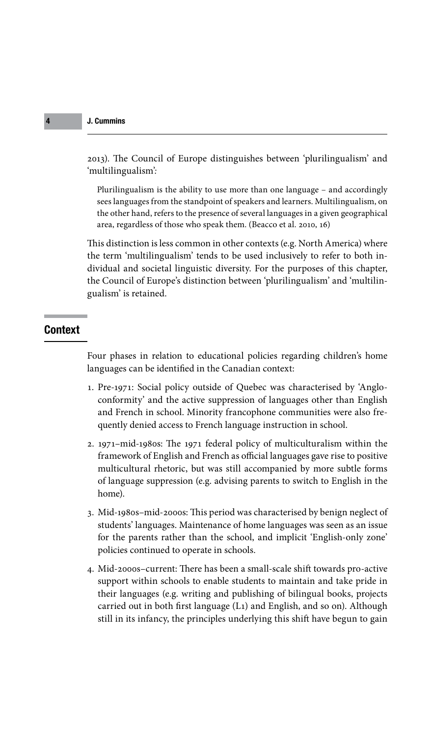2013). The Council of Europe distinguishes between 'plurilingualism' and 'multilingualism'*:*

Plurilingualism is the ability to use more than one language – and accordingly sees languages from the standpoint of speakers and learners. Multilingualism, on the other hand, refers to the presence of several languages in a given geographical area, regardless of those who speak them. (Beacco et al. 2010, 16)

This distinction is less common in other contexts (e.g. North America) where the term 'multilingualism' tends to be used inclusively to refer to both individual and societal linguistic diversity. For the purposes of this chapter, the Council of Europe's distinction between 'plurilingualism' and 'multilingualism' is retained.

# Context

Four phases in relation to educational policies regarding children's home languages can be identified in the Canadian context:

- 1. Pre-1971: Social policy outside of Quebec was characterised by 'Angloconformity' and the active suppression of languages other than English and French in school. Minority francophone communities were also frequently denied access to French language instruction in school.
- of language suppression (e.g. advising parents to switch to English in the 2. 1971–mid-1980s: The 1971 federal policy of multiculturalism within the framework of English and French as official languages gave rise to positive multicultural rhetoric, but was still accompanied by more subtle forms home).
	- 3. Mid-1980s–mid-2000s: This period was characterised by benign neglect of students' languages. Maintenance of home languages was seen as an issue for the parents rather than the school, and implicit 'English-only zone' policies continued to operate in schools.
	- 4. Mid-2000s–current: There has been a small-scale shift towards pro-active support within schools to enable students to maintain and take pride in their languages (e.g. writing and publishing of bilingual books, projects carried out in both first language (L1) and English, and so on). Although still in its infancy, the principles underlying this shift have begun to gain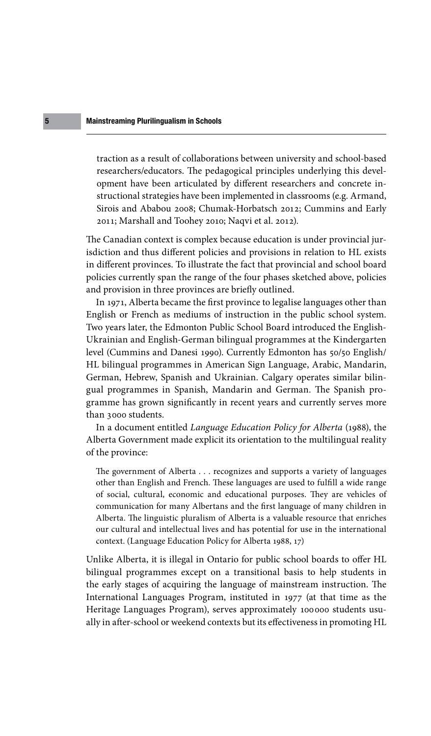## Mainstreaming Plurilingualism in Schools

traction as a result of collaborations between university and school-based researchers/educators. The pedagogical principles underlying this development have been articulated by different researchers and concrete instructional strategies have been implemented in classrooms (e.g. Armand, Sirois and Ababou 2008; Chumak-Horbatsch 2012; Cummins and Early 2011; Marshall and Toohey 2010; Naqvi et al. 2012).

The Canadian context is complex because education is under provincial jurisdiction and thus different policies and provisions in relation to HL exists in different provinces. To illustrate the fact that provincial and school board policies currently span the range of the four phases sketched above, policies and provision in three provinces are briefly outlined.

In 1971, Alberta became the first province to legalise languages other than English or French as mediums of instruction in the public school system. Two years later, the Edmonton Public School Board introduced the English-Ukrainian and English-German bilingual programmes at the Kindergarten level (Cummins and Danesi 1990). Currently Edmonton has 50/50 English/ HL bilingual programmes in American Sign Language, Arabic, Mandarin, German, Hebrew, Spanish and Ukrainian. Calgary operates similar bilingual programmes in Spanish, Mandarin and German. The Spanish programme has grown significantly in recent years and currently serves more than 3000 students.

In a document entitled *Language Education Policy for Alberta* (1988), the Alberta Government made explicit its orientation to the multilingual reality of the province:

other than English and French. These languages are used to fulfill a wide range. The government of Alberta . . . recognizes and supports a variety of languages of social, cultural, economic and educational purposes. They are vehicles of communication for many Albertans and the first language of many children in Alberta. The linguistic pluralism of Alberta is a valuable resource that enriches our cultural and intellectual lives and has potential for use in the international context. (Language Education Policy for Alberta 1988, 17)

> Unlike Alberta, it is illegal in Ontario for public school boards to offer HL bilingual programmes except on a transitional basis to help students in the early stages of acquiring the language of mainstream instruction. The International Languages Program, instituted in 1977 (at that time as the Heritage Languages Program), serves approximately 100 000 students usually in after-school or weekend contexts but its effectiveness in promoting HL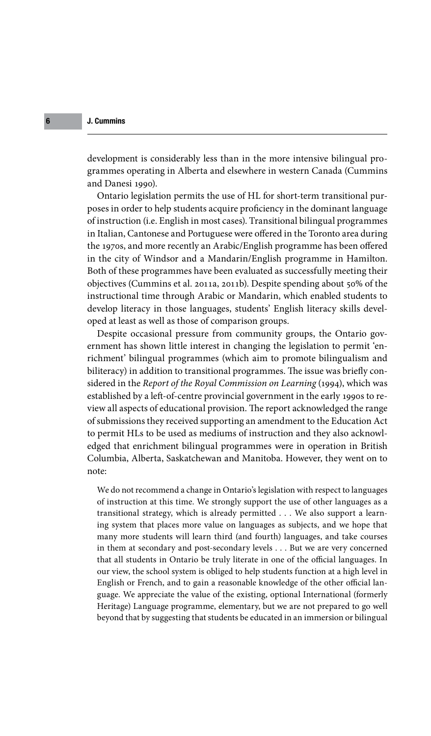development is considerably less than in the more intensive bilingual programmes operating in Alberta and elsewhere in western Canada (Cummins and Danesi 1990).

Ontario legislation permits the use of HL for short-term transitional purposes in order to help students acquire proficiency in the dominant language of instruction (i.e. English in most cases). Transitional bilingual programmes in Italian, Cantonese and Portuguese were offered in the Toronto area during the 1970s, and more recently an Arabic/English programme has been offered in the city of Windsor and a Mandarin/English programme in Hamilton. Both of these programmes have been evaluated as successfully meeting their objectives (Cummins et al. 2011a, 2011b). Despite spending about 50% of the instructional time through Arabic or Mandarin, which enabled students to develop literacy in those languages, students' English literacy skills developed at least as well as those of comparison groups.

Despite occasional pressure from community groups, the Ontario government has shown little interest in changing the legislation to permit 'enrichment' bilingual programmes (which aim to promote bilingualism and biliteracy) in addition to transitional programmes. The issue was briefly considered in the *Report of the Royal Commission on Learning* (1994), which was established by a left-of-centre provincial government in the early 1990s to review all aspects of educational provision. The report acknowledged the range of submissions they received supporting an amendment to the Education Act to permit HLs to be used as mediums of instruction and they also acknowledged that enrichment bilingual programmes were in operation in British Columbia, Alberta, Saskatchewan and Manitoba. However, they went on to note:

We do not recommend a change in Ontario's legislation with respect to languages of instruction at this time. We strongly support the use of other languages as a transitional strategy, which is already permitted . . . We also support a learning system that places more value on languages as subjects, and we hope that many more students will learn third (and fourth) languages, and take courses in them at secondary and post-secondary levels . . . But we are very concerned that all students in Ontario be truly literate in one of the official languages. In our view, the school system is obliged to help students function at a high level in English or French, and to gain a reasonable knowledge of the other official language. We appreciate the value of the existing, optional International (formerly Heritage) Language programme, elementary, but we are not prepared to go well beyond that by suggesting that students be educated in an immersion or bilingual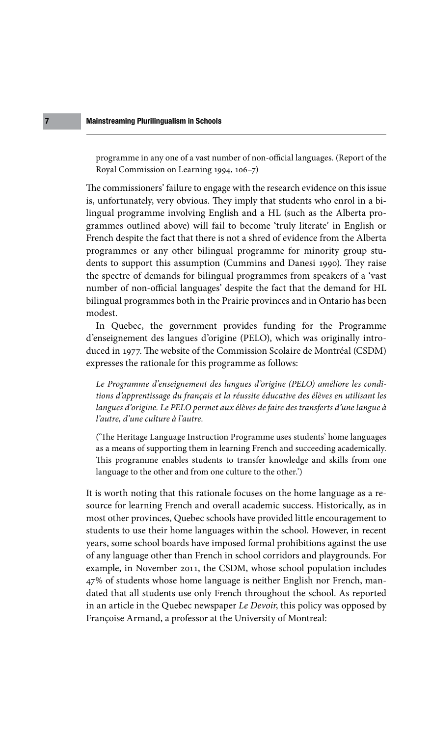programme in any one of a vast number of non-official languages. (Report of the Royal Commission on Learning 1994, 106–7)

The commissioners' failure to engage with the research evidence on this issue is, unfortunately, very obvious. They imply that students who enrol in a bilingual programme involving English and a HL (such as the Alberta programmes outlined above) will fail to become 'truly literate' in English or French despite the fact that there is not a shred of evidence from the Alberta programmes or any other bilingual programme for minority group students to support this assumption (Cummins and Danesi 1990). They raise the spectre of demands for bilingual programmes from speakers of a 'vast number of non-official languages' despite the fact that the demand for HL bilingual programmes both in the Prairie provinces and in Ontario has been modest.

In Quebec, the government provides funding for the Programme d'enseignement des langues d'origine (PELO), which was originally introduced in 1977. The website of the Commission Scolaire de Montréal (CSDM) expresses the rationale for this programme as follows:

*Le Programme d'enseignement des langues d'origine (PELO) améliore les conditions d'apprentissage du français et la réussite éducative des élèves en utilisant les langues d'origine. Le PELO permet aux élèves de faire des transferts d'une langue à l'autre, d'une culture à l'autre.*

language to the other and from one culture to the other.') ('The Heritage Language Instruction Programme uses students' home languages as a means of supporting them in learning French and succeeding academically. This programme enables students to transfer knowledge and skills from one

> It is worth noting that this rationale focuses on the home language as a resource for learning French and overall academic success. Historically, as in most other provinces, Quebec schools have provided little encouragement to students to use their home languages within the school. However, in recent years, some school boards have imposed formal prohibitions against the use of any language other than French in school corridors and playgrounds. For example, in November 2011, the CSDM, whose school population includes 47% of students whose home language is neither English nor French, mandated that all students use only French throughout the school. As reported in an article in the Quebec newspaper *Le Devoir*, this policy was opposed by Françoise Armand, a professor at the University of Montreal: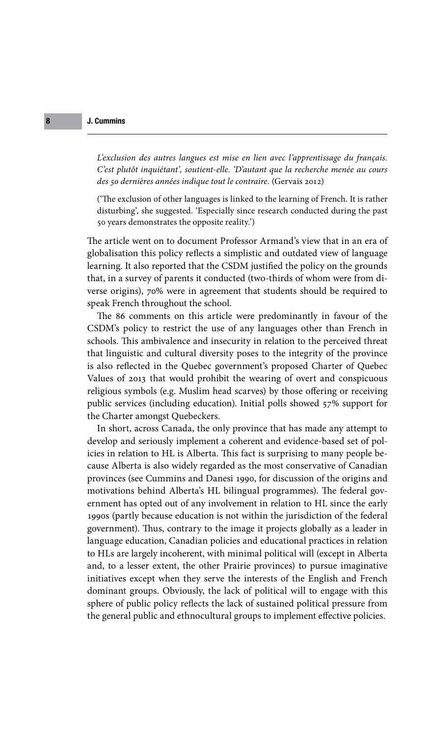*L'exclusion des autres langues est mise en lien avec l'apprentissage du français. C'est plutôt inquiétant', soutient-elle. 'D'autant que la recherche menée au cours des 50 dernières années indique tout le contraire.* (Gervais 2012)

('The exclusion of other languages is linked to the learning of French. It is rather disturbing', she suggested. 'Especially since research conducted during the past 50 years demonstrates the opposite reality.')

The article went on to document Professor Armand's view that in an era of globalisation this policy reflects a simplistic and outdated view of language learning. It also reported that the CSDM justified the policy on the grounds that, in a survey of parents it conducted (two-thirds of whom were from diverse origins), 70% were in agreement that students should be required to speak French throughout the school.

The 86 comments on this article were predominantly in favour of the CSDM's policy to restrict the use of any languages other than French in schools. This ambivalence and insecurity in relation to the perceived threat that linguistic and cultural diversity poses to the integrity of the province is also reflected in the Quebec government's proposed Charter of Quebec Values of 2013 that would prohibit the wearing of overt and conspicuous religious symbols (e.g. Muslim head scarves) by those offering or receiving public services (including education). Initial polls showed 57% support for the Charter amongst Quebeckers.

provinces (see Cummins and Danesi 1990, for discussion of the origins and In short, across Canada, the only province that has made any attempt to develop and seriously implement a coherent and evidence-based set of policies in relation to HL is Alberta. This fact is surprising to many people because Alberta is also widely regarded as the most conservative of Canadian motivations behind Alberta's HL bilingual programmes). The federal government has opted out of any involvement in relation to HL since the early 1990s (partly because education is not within the jurisdiction of the federal government). Thus, contrary to the image it projects globally as a leader in language education, Canadian policies and educational practices in relation to HLs are largely incoherent, with minimal political will (except in Alberta and, to a lesser extent, the other Prairie provinces) to pursue imaginative initiatives except when they serve the interests of the English and French dominant groups. Obviously, the lack of political will to engage with this sphere of public policy reflects the lack of sustained political pressure from the general public and ethnocultural groups to implement effective policies.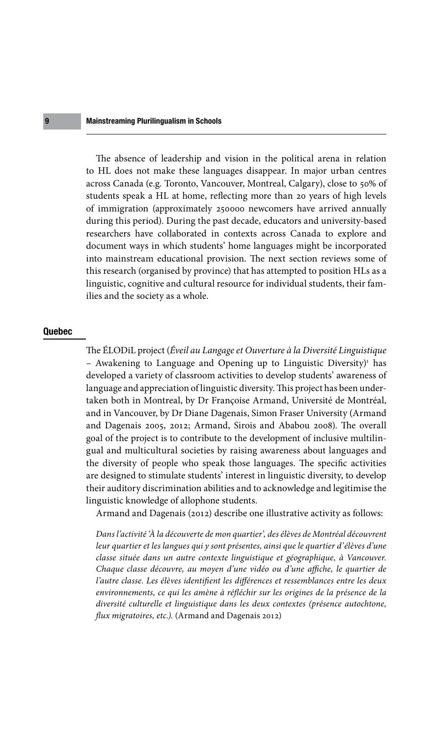## Mainstreaming Plurilingualism in Schools

The absence of leadership and vision in the political arena in relation to HL does not make these languages disappear. In major urban centres across Canada (e.g. Toronto, Vancouver, Montreal, Calgary), close to 50% of students speak a HL at home, reflecting more than 20 years of high levels of immigration (approximately 250000 newcomers have arrived annually during this period). During the past decade, educators and university-based researchers have collaborated in contexts across Canada to explore and document ways in which students' home languages might be incorporated into mainstream educational provision. The next section reviews some of this research (organised by province) that has attempted to position HLs as a linguistic, cognitive and cultural resource for individual students, their families and the society as a whole.

#### Quebec

are designed to stimulate students' interest [in linguistic diver](http://www.cambridge.org)sity, to develop The ÉLODiL project (*Éveil au Langage et Ouverture à la Diversité Linguistique*  - Awakening to Language and Opening up to Linguistic Diversity)<sup>1</sup> has developed a variety of classroom activities to develop students' awareness of language and appreciation of linguistic diversity. This project has been undertaken both in Montreal, by Dr Françoise Armand, Université de Montréal, and in Vancouver, by Dr Diane Dagenais, Simon Fraser University (Armand and Dagenais 2005, 2012; Armand, Sirois and Ababou 2008). The overall goal of the project is to contribute to the development of inclusive multilingual and multicultural societies by raising awareness about languages and the diversity of people who speak those languages. The specific activities their auditory discrimination abilities and to acknowledge and legitimise the linguistic knowledge of allophone students.

Armand and Dagenais (2012) describe one illustrative activity as follows:

*Dans l'activité 'À la découverte de mon quartier', des élèves de Montréal découvrent leur quartier et les langues qui y sont présentes, ainsi que le quartier d'élèves d'une classe située dans un autre contexte linguistique et géographique, à Vancouver. Chaque classe découvre, au moyen d'une vidéo ou d'une affiche, le quartier de l'autre classe. Les élèves identifient les différences et ressemblances entre les deux*  environnements, ce qui les amène à réfléchir sur les origines de la présence de la *diversité culturelle et linguistique dans les deux contextes (présence autochtone, flux migratoires, etc.).* (Armand and Dagenais 2012)